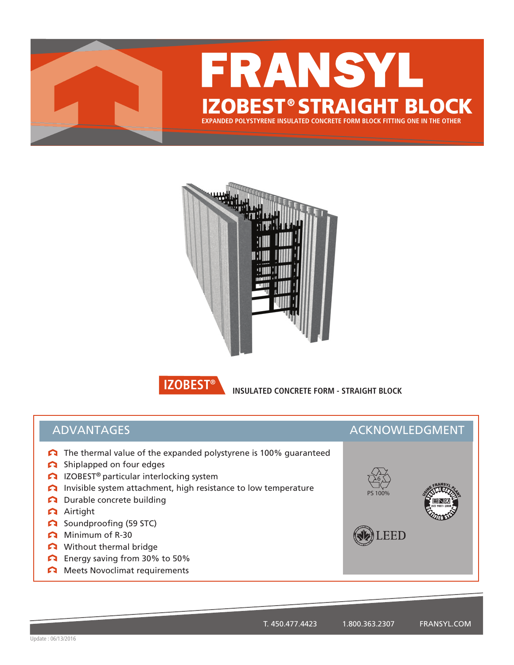



**BIZOBEST® INSULATED CONCRETE FORM - STRAIGHT BLOCK** 

## ADVANTAGES ACKNOWLEDGMENT

- The thermal value of the expanded polystyrene is 100% guaranteed
- Shiplapped on four edges
- **C** IZOBEST<sup>®</sup> particular interlocking system
- Invisible system attachment, high resistance to low temperature
- Durable concrete building
- Airtight
- Soundproofing (59 STC)
- Minimum of R-30
- Without thermal bridge
- Energy saving from 30% to 50%
- **Meets Novoclimat requirements**